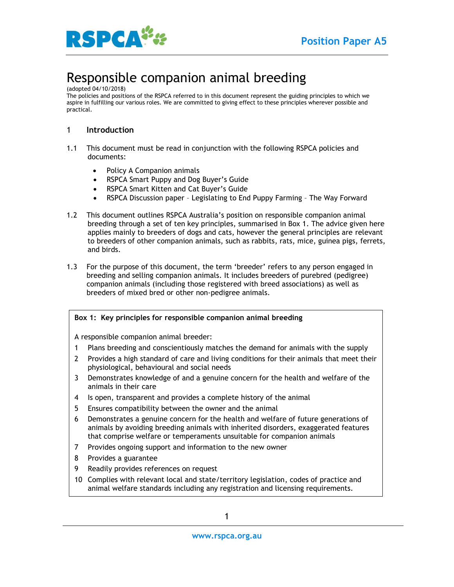

# Responsible companion animal breeding

(adopted 04/10/2018)

The policies and positions of the RSPCA referred to in this document represent the guiding principles to which we aspire in fulfilling our various roles. We are committed to giving effect to these principles wherever possible and practical.

## 1 **Introduction**

- 1.1 This document must be read in conjunction with the following RSPCA policies and documents:
	- Policy A Companion animals
	- RSPCA Smart Puppy and Dog Buyer's Guide
	- RSPCA Smart Kitten and Cat Buyer's Guide
	- RSPCA Discussion paper Legislating to End Puppy Farming The Way Forward
- 1.2 This document outlines RSPCA Australia's position on responsible companion animal breeding through a set of ten key principles, summarised in Box 1. The advice given here applies mainly to breeders of dogs and cats, however the general principles are relevant to breeders of other companion animals, such as rabbits, rats, mice, guinea pigs, ferrets, and birds.
- 1.3 For the purpose of this document, the term 'breeder' refers to any person engaged in breeding and selling companion animals. It includes breeders of purebred (pedigree) companion animals (including those registered with breed associations) as well as breeders of mixed bred or other non-pedigree animals.

#### **Box 1: Key principles for responsible companion animal breeding**

A responsible companion animal breeder:

- 1 Plans breeding and conscientiously matches the demand for animals with the supply
- 2 Provides a high standard of care and living conditions for their animals that meet their physiological, behavioural and social needs
- 3 Demonstrates knowledge of and a genuine concern for the health and welfare of the animals in their care
- 4 Is open, transparent and provides a complete history of the animal
- 5 Ensures compatibility between the owner and the animal
- 6 Demonstrates a genuine concern for the health and welfare of future generations of animals by avoiding breeding animals with inherited disorders, exaggerated features that comprise welfare or temperaments unsuitable for companion animals
- 7 Provides ongoing support and information to the new owner
- 8 Provides a guarantee
- 9 Readily provides references on request
- 10 Complies with relevant local and state/territory legislation, codes of practice and animal welfare standards including any registration and licensing requirements.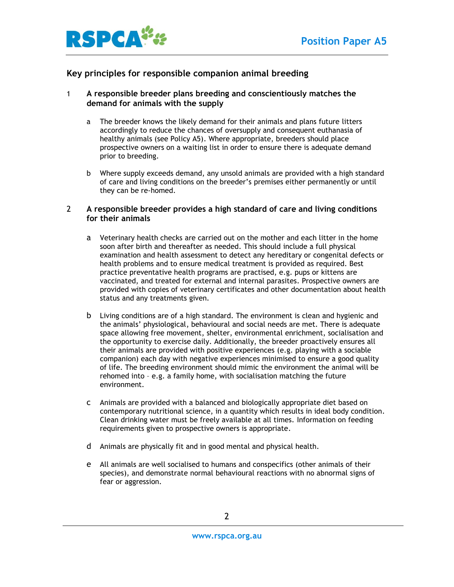

## **Key principles for responsible companion animal breeding**

### 1 **A responsible breeder plans breeding and conscientiously matches the demand for animals with the supply**

- a The breeder knows the likely demand for their animals and plans future litters accordingly to reduce the chances of oversupply and consequent euthanasia of healthy animals (see Policy A5). Where appropriate, breeders should place prospective owners on a waiting list in order to ensure there is adequate demand prior to breeding.
- b Where supply exceeds demand, any unsold animals are provided with a high standard of care and living conditions on the breeder's premises either permanently or until they can be re-homed.

#### 2 **A responsible breeder provides a high standard of care and living conditions for their animals**

- a Veterinary health checks are carried out on the mother and each litter in the home soon after birth and thereafter as needed. This should include a full physical examination and health assessment to detect any hereditary or congenital defects or health problems and to ensure medical treatment is provided as required. Best practice preventative health programs are practised, e.g. pups or kittens are vaccinated, and treated for external and internal parasites. Prospective owners are provided with copies of veterinary certificates and other documentation about health status and any treatments given.
- b Living conditions are of a high standard. The environment is clean and hygienic and the animals' physiological, behavioural and social needs are met. There is adequate space allowing free movement, shelter, environmental enrichment, socialisation and the opportunity to exercise daily. Additionally, the breeder proactively ensures all their animals are provided with positive experiences (e.g. playing with a sociable companion) each day with negative experiences minimised to ensure a good quality of life. The breeding environment should mimic the environment the animal will be rehomed into – e.g. a family home, with socialisation matching the future environment.
- c Animals are provided with a balanced and biologically appropriate diet based on contemporary nutritional science, in a quantity which results in ideal body condition. Clean drinking water must be freely available at all times. Information on feeding requirements given to prospective owners is appropriate.
- d Animals are physically fit and in good mental and physical health.
- e All animals are well socialised to humans and conspecifics (other animals of their species), and demonstrate normal behavioural reactions with no abnormal signs of fear or aggression.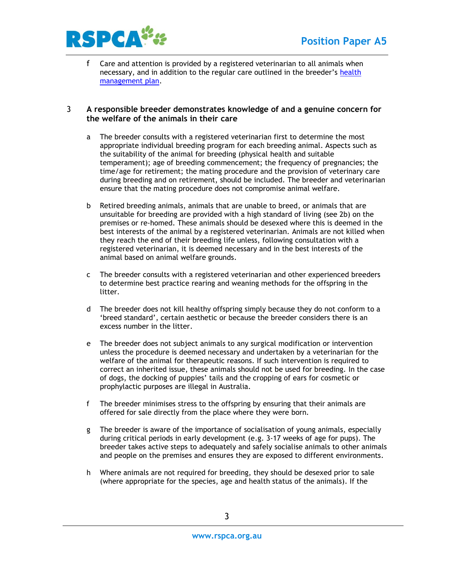

f Care and attention is provided by a registered veterinarian to all animals when necessary, and in addition to the regular care outlined in the breeder's [health](http://agriculture.vic.gov.au/__data/assets/pdf_file/0013/306103/A_CoP-breeding-updated-July-2015-artwork-for-email.pdf)  [management plan.](http://agriculture.vic.gov.au/__data/assets/pdf_file/0013/306103/A_CoP-breeding-updated-July-2015-artwork-for-email.pdf)

#### 3 **A responsible breeder demonstrates knowledge of and a genuine concern for the welfare of the animals in their care**

- a The breeder consults with a registered veterinarian first to determine the most appropriate individual breeding program for each breeding animal. Aspects such as the suitability of the animal for breeding (physical health and suitable temperament); age of breeding commencement; the frequency of pregnancies; the time/age for retirement; the mating procedure and the provision of veterinary care during breeding and on retirement, should be included. The breeder and veterinarian ensure that the mating procedure does not compromise animal welfare.
- b Retired breeding animals, animals that are unable to breed, or animals that are unsuitable for breeding are provided with a high standard of living (see 2b) on the premises or re-homed. These animals should be desexed where this is deemed in the best interests of the animal by a registered veterinarian. Animals are not killed when they reach the end of their breeding life unless, following consultation with a registered veterinarian, it is deemed necessary and in the best interests of the animal based on animal welfare grounds.
- c The breeder consults with a registered veterinarian and other experienced breeders to determine best practice rearing and weaning methods for the offspring in the litter.
- d The breeder does not kill healthy offspring simply because they do not conform to a 'breed standard', certain aesthetic or because the breeder considers there is an excess number in the litter.
- e The breeder does not subject animals to any surgical modification or intervention unless the procedure is deemed necessary and undertaken by a veterinarian for the welfare of the animal for therapeutic reasons. If such intervention is required to correct an inherited issue, these animals should not be used for breeding. In the case of dogs, the docking of puppies' tails and the cropping of ears for cosmetic or prophylactic purposes are illegal in Australia.
- f The breeder minimises stress to the offspring by ensuring that their animals are offered for sale directly from the place where they were born.
- g The breeder is aware of the importance of socialisation of young animals, especially during critical periods in early development (e.g. 3-17 weeks of age for pups). The breeder takes active steps to adequately and safely socialise animals to other animals and people on the premises and ensures they are exposed to different environments.
- h Where animals are not required for breeding, they should be desexed prior to sale (where appropriate for the species, age and health status of the animals). If the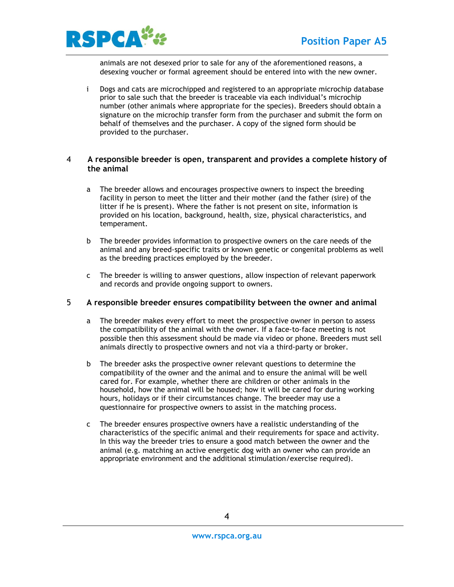

animals are not desexed prior to sale for any of the aforementioned reasons, a desexing voucher or formal agreement should be entered into with the new owner.

i Dogs and cats are microchipped and registered to an appropriate microchip database prior to sale such that the breeder is traceable via each individual's microchip number (other animals where appropriate for the species). Breeders should obtain a signature on the microchip transfer form from the purchaser and submit the form on behalf of themselves and the purchaser. A copy of the signed form should be provided to the purchaser.

#### 4 **A responsible breeder is open, transparent and provides a complete history of the animal**

- a The breeder allows and encourages prospective owners to inspect the breeding facility in person to meet the litter and their mother (and the father (sire) of the litter if he is present). Where the father is not present on site, information is provided on his location, background, health, size, physical characteristics, and temperament.
- b The breeder provides information to prospective owners on the care needs of the animal and any breed-specific traits or known genetic or congenital problems as well as the breeding practices employed by the breeder.
- c The breeder is willing to answer questions, allow inspection of relevant paperwork and records and provide ongoing support to owners.

#### 5 **A responsible breeder ensures compatibility between the owner and animal**

- a The breeder makes every effort to meet the prospective owner in person to assess the compatibility of the animal with the owner. If a face-to-face meeting is not possible then this assessment should be made via video or phone. Breeders must sell animals directly to prospective owners and not via a third-party or broker.
- b The breeder asks the prospective owner relevant questions to determine the compatibility of the owner and the animal and to ensure the animal will be well cared for. For example, whether there are children or other animals in the household, how the animal will be housed; how it will be cared for during working hours, holidays or if their circumstances change. The breeder may use a questionnaire for prospective owners to assist in the matching process.
- c The breeder ensures prospective owners have a realistic understanding of the characteristics of the specific animal and their requirements for space and activity. In this way the breeder tries to ensure a good match between the owner and the animal (e.g. matching an active energetic dog with an owner who can provide an appropriate environment and the additional stimulation/exercise required).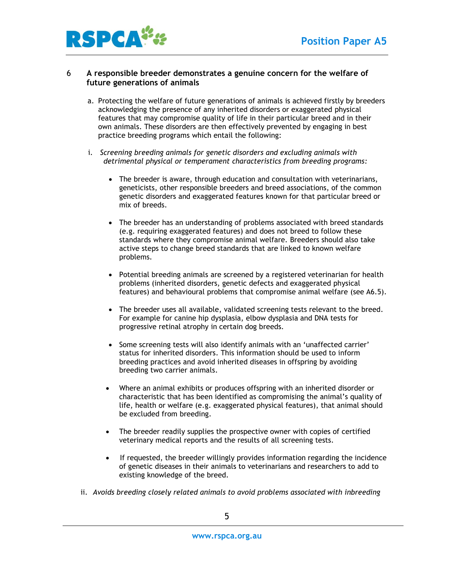



#### 6 **A responsible breeder demonstrates a genuine concern for the welfare of future generations of animals**

- a. Protecting the welfare of future generations of animals is achieved firstly by breeders acknowledging the presence of any inherited disorders or exaggerated physical features that may compromise quality of life in their particular breed and in their own animals. These disorders are then effectively prevented by engaging in best practice breeding programs which entail the following:
- i. *Screening breeding animals for genetic disorders and excluding animals with detrimental physical or temperament characteristics from breeding programs:*
	- The breeder is aware, through education and consultation with veterinarians, geneticists, other responsible breeders and breed associations, of the common genetic disorders and exaggerated features known for that particular breed or mix of breeds.
	- The breeder has an understanding of problems associated with breed standards (e.g. requiring exaggerated features) and does not breed to follow these standards where they compromise animal welfare. Breeders should also take active steps to change breed standards that are linked to known welfare problems.
	- Potential breeding animals are screened by a registered veterinarian for health problems (inherited disorders, genetic defects and exaggerated physical features) and behavioural problems that compromise animal welfare (see A6.5).
	- The breeder uses all available, validated screening tests relevant to the breed. For example for canine hip dysplasia, elbow dysplasia and DNA tests for progressive retinal atrophy in certain dog breeds.
	- Some screening tests will also identify animals with an 'unaffected carrier' status for inherited disorders. This information should be used to inform breeding practices and avoid inherited diseases in offspring by avoiding breeding two carrier animals.
	- Where an animal exhibits or produces offspring with an inherited disorder or characteristic that has been identified as compromising the animal's quality of life, health or welfare (e.g. exaggerated physical features), that animal should be excluded from breeding.
	- The breeder readily supplies the prospective owner with copies of certified veterinary medical reports and the results of all screening tests.
	- If requested, the breeder willingly provides information regarding the incidence of genetic diseases in their animals to veterinarians and researchers to add to existing knowledge of the breed.
- ii. *Avoids breeding closely related animals to avoid problems associated with inbreeding*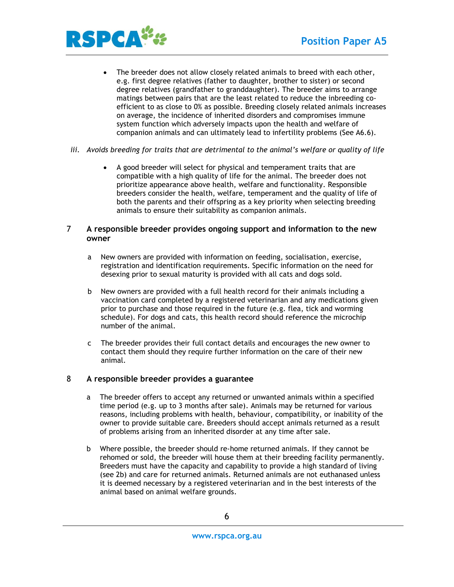

- The breeder does not allow closely related animals to breed with each other, e.g. first degree relatives (father to daughter, brother to sister) or second degree relatives (grandfather to granddaughter). The breeder aims to arrange matings between pairs that are the least related to reduce the inbreeding coefficient to as close to 0% as possible. Breeding closely related animals increases on average, the incidence of inherited disorders and compromises immune system function which adversely impacts upon the health and welfare of companion animals and can ultimately lead to infertility problems (See A6.6).
- *iii. Avoids breeding for traits that are detrimental to the animal's welfare or quality of life*
	- A good breeder will select for physical and temperament traits that are compatible with a high quality of life for the animal. The breeder does not prioritize appearance above health, welfare and functionality. Responsible breeders consider the health, welfare, temperament and the quality of life of both the parents and their offspring as a key priority when selecting breeding animals to ensure their suitability as companion animals.

## 7 **A responsible breeder provides ongoing support and information to the new owner**

- a New owners are provided with information on feeding, socialisation, exercise, registration and identification requirements. Specific information on the need for desexing prior to sexual maturity is provided with all cats and dogs sold.
- b New owners are provided with a full health record for their animals including a vaccination card completed by a registered veterinarian and any medications given prior to purchase and those required in the future (e.g. flea, tick and worming schedule). For dogs and cats, this health record should reference the microchip number of the animal.
- c The breeder provides their full contact details and encourages the new owner to contact them should they require further information on the care of their new animal.

## 8 **A responsible breeder provides a guarantee**

- a The breeder offers to accept any returned or unwanted animals within a specified time period (e.g. up to 3 months after sale). Animals may be returned for various reasons, including problems with health, behaviour, compatibility, or inability of the owner to provide suitable care. Breeders should accept animals returned as a result of problems arising from an inherited disorder at any time after sale.
- b Where possible, the breeder should re-home returned animals. If they cannot be rehomed or sold, the breeder will house them at their breeding facility permanently. Breeders must have the capacity and capability to provide a high standard of living (see 2b) and care for returned animals. Returned animals are not euthanased unless it is deemed necessary by a registered veterinarian and in the best interests of the animal based on animal welfare grounds.